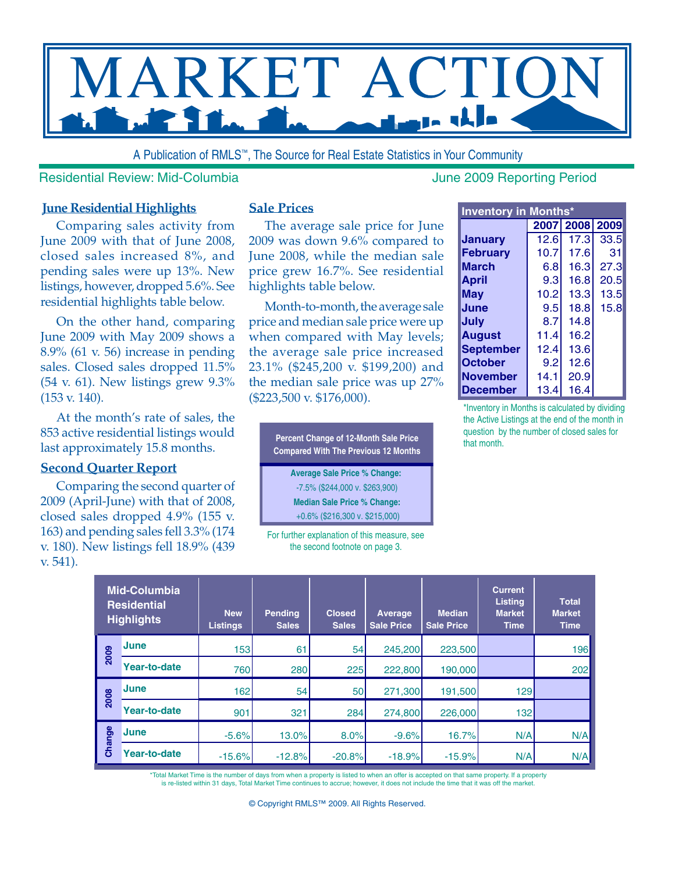

A Publication of RMLS™, The Source for Real Estate Statistics in Your Community

### Residential Review: Mid-Columbia **June 2009** Reporting Period

### **June Residential Highlights**

Comparing sales activity from June 2009 with that of June 2008, closed sales increased 8%, and pending sales were up 13%. New listings, however, dropped 5.6%. See residential highlights table below.

On the other hand, comparing June 2009 with May 2009 shows a 8.9% (61 v. 56) increase in pending sales. Closed sales dropped 11.5% (54 v. 61). New listings grew 9.3% (153 v. 140).

At the month's rate of sales, the 853 active residential listings would last approximately 15.8 months.

### **Second Quarter Report**

Comparing the second quarter of 2009 (April-June) with that of 2008, closed sales dropped 4.9% (155 v. 163) and pending sales fell 3.3% (174 v. 180). New listings fell 18.9% (439 v. 541).

### **Sale Prices**

The average sale price for June 2009 was down 9.6% compared to June 2008, while the median sale price grew 16.7%. See residential highlights table below.

Month-to-month, the average sale price and median sale price were up when compared with May levels; the average sale price increased 23.1% (\$245,200 v. \$199,200) and the median sale price was up 27% (\$223,500 v. \$176,000).

**Percent Change of 12-Month Sale Price Compared With The Previous 12 Months Average Sale Price % Change:**  -7.5% (\$244,000 v. \$263,900) **Median Sale Price % Change:** +0.6% (\$216,300 v. \$215,000)

| <b>Inventory in Months*</b> |      |                |      |  |  |  |  |  |  |  |  |  |
|-----------------------------|------|----------------|------|--|--|--|--|--|--|--|--|--|
|                             |      | 2007 2008 2009 |      |  |  |  |  |  |  |  |  |  |
| Januarv                     | 12.6 | 17.3           | 33.5 |  |  |  |  |  |  |  |  |  |
| <b>February</b>             | 10.7 | 17.6           | 31   |  |  |  |  |  |  |  |  |  |
| <b>March</b>                | 6.8  | 16.3           | 27.3 |  |  |  |  |  |  |  |  |  |
| <b>April</b>                | 9.3  | 16.8           | 20.5 |  |  |  |  |  |  |  |  |  |
| May                         | 10.2 | 13.3           | 13.5 |  |  |  |  |  |  |  |  |  |
| June                        | 9.5  | 18.8           | 15.8 |  |  |  |  |  |  |  |  |  |
| July                        | 8.7  | 14.8           |      |  |  |  |  |  |  |  |  |  |
| <b>August</b>               | 11.4 | 16.2           |      |  |  |  |  |  |  |  |  |  |
| <b>September</b>            | 12.4 | 13.6           |      |  |  |  |  |  |  |  |  |  |
| <b>October</b>              | 9.2  | 12.6           |      |  |  |  |  |  |  |  |  |  |
| <b>November</b>             | 14.1 | 20.9           |      |  |  |  |  |  |  |  |  |  |
| December                    | 13.4 | 16.4           |      |  |  |  |  |  |  |  |  |  |

\*Inventory in Months is calculated by dividing the Active Listings at the end of the month in question by the number of closed sales for that month.

| <b>Mid-Columbia</b><br><b>Residential</b><br><b>Highlights</b> |                     | <b>New</b><br><b>Listings</b> | <b>Pending</b><br>Sales | <b>Closed</b><br><b>Sales</b> | Average<br><b>Sale Price</b> | <b>Median</b><br><b>Sale Price</b> | <b>Current</b><br><b>Listing</b><br><b>Market</b><br><b>Time</b> | <b>Total</b><br><b>Market</b><br><b>Time</b> |  |
|----------------------------------------------------------------|---------------------|-------------------------------|-------------------------|-------------------------------|------------------------------|------------------------------------|------------------------------------------------------------------|----------------------------------------------|--|
| 2009                                                           | <b>June</b>         | 153                           | 61                      | 54                            | 245,200                      | 223,500                            |                                                                  | 196I                                         |  |
|                                                                | Year-to-date        | 760                           | 280                     | 225                           | 222,800                      | 190,000                            |                                                                  | 202                                          |  |
| 2008                                                           | <b>June</b>         | 162                           | 54                      | 50                            | 271,300                      | 191,500                            | 129                                                              |                                              |  |
|                                                                | <b>Year-to-date</b> | 901                           | 321                     | 284                           | 274,800                      | 226,000                            | 132                                                              |                                              |  |
| Change                                                         | <b>June</b>         | $-5.6%$                       | 13.0%                   | 8.0%                          | $-9.6%$                      | 16.7%                              | N/A                                                              | N/A                                          |  |
|                                                                | Year-to-date        | $-15.6%$                      | $-12.8%$                | $-20.8%$                      | $-18.9%$                     | $-15.9%$                           | N/A                                                              | N/A                                          |  |

\*Total Market Time is the number of days from when a property is listed to when an offer is accepted on that same property. If a property<br>is re-listed within 31 days, Total Market Time continues to accrue; however, it does

For further explanation of this measure, see the second footnote on page 3.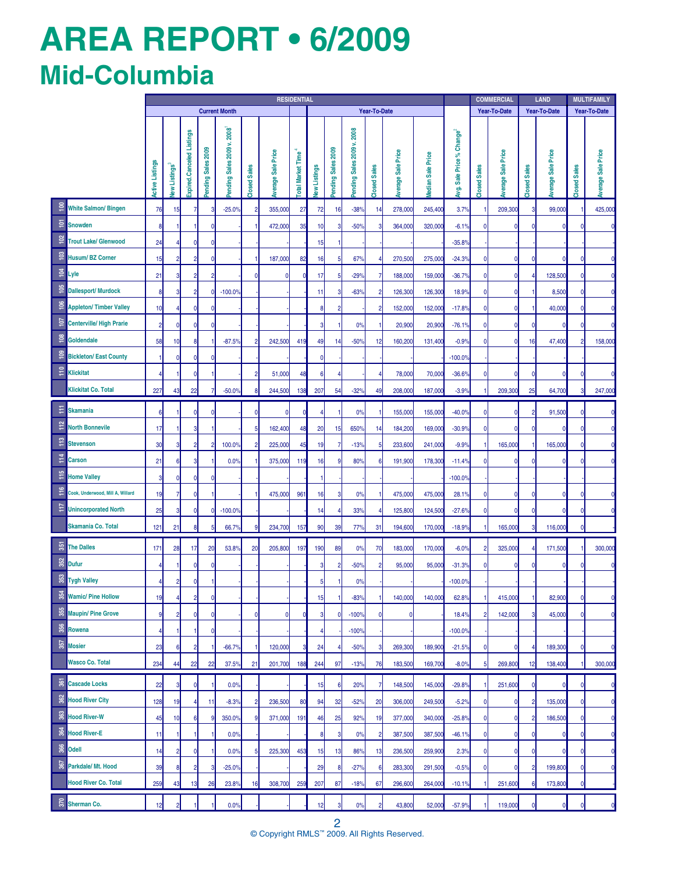# **AREa REPORT • 6/2009 Mid-Columbia**

|                                                     | <b>RESIDENTIAL</b>     |                                             |                           |                   |                           |                |                           |                  |              |                   |                           |                     | <b>COMMERCIAL</b>         |                   | <b>LAND</b>                           |              | <b>MULTIFAMILY</b> |              |                           |                |                    |
|-----------------------------------------------------|------------------------|---------------------------------------------|---------------------------|-------------------|---------------------------|----------------|---------------------------|------------------|--------------|-------------------|---------------------------|---------------------|---------------------------|-------------------|---------------------------------------|--------------|--------------------|--------------|---------------------------|----------------|--------------------|
|                                                     |                        | <b>Current Month</b><br><b>Year-To-Date</b> |                           |                   |                           |                |                           |                  |              |                   |                           |                     | Year-To-Date              |                   | <b>Year-To-Date</b>                   |              | Year-To-Date       |              |                           |                |                    |
|                                                     | <b>Active Listings</b> | lew Listings <sup>3</sup>                   | Expired.Canceled Listings | ending Sales 2009 | ending Sales 2009 v. 2008 | Closed Sales   | <b>Average Sale Price</b> | otal Market Time | lew Listings | ending Sales 2009 | ending Sales 2009 v. 2008 | <b>Closed Sales</b> | <b>Average Sale Price</b> | ledian Sale Price | Avg. Sale Price % Change <sup>2</sup> | Closed Sales | verage Sale Price  | Closed Sales | <b>Average Sale Price</b> | Closed Sales   | Average Sale Price |
| $\frac{8}{1}$<br><b>White Salmon/ Bingen</b>        | 76                     | 15                                          | $\overline{7}$            | 3                 | $-25.0%$                  | $\overline{2}$ | 355,000                   | 27               | 72           | 16                | $-38%$                    | 14                  | 278,000                   | 245,400           | 3.7%                                  |              | 209,300            | 3            | 99,000                    | -1             | 425,000            |
| ē<br><b>Snowden</b>                                 | 8                      | 1                                           | 1                         | $\mathbf 0$       |                           |                | 472,000                   | 35               | 10           | 3                 | $-50%$                    | 3                   | 364,000                   | 320,000           | $-6.1%$                               | 0            |                    | 0            |                           | $\mathbf{0}$   |                    |
| $\approx$<br><b>Trout Lake/ Glenwood</b>            | 24                     | 4                                           | $\mathbf 0$               | $\mathbf 0$       |                           |                |                           |                  | 15           |                   |                           |                     |                           |                   | $-35.8%$                              |              |                    |              |                           |                |                    |
| $\frac{2}{3}$<br>Husum/BZ Corner                    | 15                     | $\overline{2}$                              | $\overline{2}$            | $\mathbf 0$       |                           | 1              | 187,000                   | 82               | 16           | $5\phantom{.0}$   | 67%                       | 4                   | 270,500                   | 275,000           | $-24.3%$                              | $\mathbf{0}$ |                    | 0            |                           | 0              |                    |
| $\overline{9}$<br>Lyle                              | 21                     | $\overline{\mathbf{3}}$                     | $\overline{2}$            | $\overline{2}$    |                           | 0              | $\mathbf{0}$              |                  | 17           | 5                 | $-29%$                    | $\overline{7}$      | 188,000                   | 159,000           | $-36.7%$                              | 0            |                    |              | 128,500                   | 0              |                    |
| $\frac{105}{20}$<br><b>Dallesport/ Murdock</b>      | 8                      | $\overline{\mathbf{3}}$                     | $\overline{2}$            | $\mathbf{0}$      | $-100.0%$                 |                |                           |                  | 11           | 3                 | $-63%$                    | $\overline{2}$      | 126,300                   | 126,300           | 18.9%                                 | 0            |                    |              | 8,500                     | 0              |                    |
| $\frac{106}{2}$<br><b>Appleton/Timber Valley</b>    | 10                     | 4                                           | $\mathbf 0$               | $\mathbf 0$       |                           |                |                           |                  | 8            | $\overline{2}$    |                           | $\overline{2}$      | 152,000                   | 152,000           | $-17.8%$                              | 0            |                    |              | 40,000                    | 0              |                    |
| $\frac{107}{20}$<br><b>Centerville/ High Prarie</b> | $\overline{2}$         | $\mathbf{0}$                                | $\mathbf 0$               | 0                 |                           |                |                           |                  |              |                   | 0%                        | -1                  | 20,900                    | 20,900            | $-76.1%$                              | 0            |                    | C            |                           | 0              |                    |
| $\frac{8}{5}$<br>Goldendale                         | 58                     | 10                                          | 8                         |                   | $-87.5%$                  | $\overline{2}$ | 242,500                   | 419              | 49           | 14                | $-50%$                    | 12                  | 160,200                   | 131,400           | $-0.9%$                               | 0            |                    | 16           | 47,400                    | $\overline{2}$ | 158,000            |
| <u>ខ</u><br><b>Bickleton/East County</b>            |                        | $\mathbf{0}$                                | $\mathbf 0$               | 0                 |                           |                |                           |                  | O            |                   |                           |                     |                           |                   | $-100.0$                              |              |                    |              |                           |                |                    |
| $\frac{1}{2}$<br>Klickitat                          |                        |                                             | $\mathbf 0$               |                   |                           | $\overline{c}$ | 51,000                    | 48               | 6            | 4                 |                           | 4                   | 78,000                    | 70,000            | $-36.6%$                              | 0            |                    | 0            |                           | $\mathbf{0}$   |                    |
| <b>Klickitat Co. Total</b>                          | 227                    | 43                                          | 22                        |                   | $-50.0%$                  | 8              | 244,500                   | 138              | 207          | 54                | $-32%$                    | 49                  | 208,000                   | 187,000           | $-3.9%$                               |              | 209,300            | 25           | 64,700                    | 3              | 247,000            |
| Ε<br><b>Skamania</b>                                | 6                      |                                             | $\mathbf{0}$              | $\mathbf{0}$      |                           | $\Omega$       | $\mathbf{0}$              |                  |              |                   | 0%                        |                     | 155,000                   | 155,000           | $-40.0%$                              | 0            |                    |              | 91,500                    | $\mathbf{0}$   |                    |
| 112<br><b>North Bonnevile</b>                       | 17                     |                                             | 3                         |                   |                           | 5              | 162,400                   | 48               | 20           | 15                | 650%                      | 14                  | 184,200                   | 169,000           | $-30.9%$                              | $\mathbf{0}$ |                    | n            |                           | $\mathbf{0}$   |                    |
| $\frac{11}{2}$<br><b>Stevenson</b>                  | 30                     | 3                                           | $\overline{2}$            | $\overline{2}$    | 100.0%                    | 2              | 225,000                   | 45               | 19           | 7                 | $-13%$                    | 5                   | 233,600                   | 241,000           | $-9.9%$                               |              | 165,000            |              | 165,000                   | $\mathbf{0}$   |                    |
| 114<br>Carson                                       | 21                     | 6 <sup>1</sup>                              | 3                         |                   | 0.0%                      |                | 375,000                   | 119              | 16           | ç                 | 80%                       | 6                   | 191,900                   | 178,300           | $-11.4%$                              | 0            |                    |              |                           | O              |                    |
| $\frac{115}{21}$<br><b>Home Valley</b>              | 3                      | $\mathbf{0}$                                | $\Omega$                  | $\mathbf{0}$      |                           |                |                           |                  |              |                   |                           |                     |                           |                   | $-100.0$                              |              |                    |              |                           |                |                    |
| 116<br>Cook, Underwood, Mill A, Willard             | 19                     | $\overline{7}$                              | $\mathbf{0}$              |                   |                           |                | 475,000                   | 961              | 16           | 3                 | 0%                        | -1                  | 475,000                   | 475,000           | 28.1%                                 | $\mathbf 0$  |                    | n            |                           | $\mathbf{0}$   |                    |
| $\frac{1}{2}$<br><b>Unincorporated North</b>        | 25                     | $\overline{\mathbf{3}}$                     | $\mathbf 0$               | $\mathbf{0}$      | $-100.0%$                 |                |                           |                  | 14           |                   | 33%                       | 4                   | 125,800                   | 124,500           | $-27.6%$                              | $\Omega$     |                    | 0            |                           | $\mathbf{0}$   |                    |
| Skamania Co. Total                                  | 121                    | 21                                          | 8                         | 5                 | 66.7%                     | 9              | 234,700                   | 157              | 90           | 39                | <b>77%</b>                | 31                  | 194,600                   | 170,000           | $-18.9%$                              |              | 165,000            | 3            | 116,000                   | $\mathbf{0}$   |                    |
| 55<br><b>The Dalles</b>                             | 171                    | 28                                          | 17                        | 20                | 53.8%                     | 20             | 205,800                   | 197              | 190          | 89                | 0%                        | 70                  | 183,000                   | 170,000           | $-6.0%$                               | 2            | 325,000            |              | 171,500                   |                | 300,000            |
| 352<br><b>Dufur</b>                                 |                        |                                             | 0                         | 0                 |                           |                |                           |                  |              | $\overline{2}$    | $-50%$                    | $\overline{2}$      | 95,000                    | 95,000            | $-31.3%$                              | 0            |                    |              |                           | 0              |                    |
| 353<br><b>Tygh Valley</b>                           |                        | 2                                           | 0                         |                   |                           |                |                           |                  |              |                   | 0%                        |                     |                           |                   | $-100.0%$                             |              |                    |              |                           |                |                    |
| 35 <sub>4</sub><br><b>Wamic/ Pine Hollow</b>        | 19                     | 4                                           | $\overline{\mathbf{c}}$   | $\mathbf 0$       |                           |                |                           |                  | 15           |                   | $-83%$                    |                     | 140,000                   | 140,000           | 62.8%                                 |              | 415,000            |              | 82,900                    | 0              | 0                  |
| 355<br><b>Maupin/ Pine Grove</b>                    | 9                      | $\overline{2}$                              | $\mathbf 0$               | 0                 |                           | 0              | $\mathbf{0}$              |                  |              | 0                 | $-100%$                   | $\mathbf 0$         | $\mathbf 0$               |                   | 18.4%                                 | 2            | 142,000            | 8            | 45,000                    | 0              | $\Omega$           |
| 356<br>Rowena                                       |                        | 1                                           |                           | $\mathbf 0$       |                           |                |                           |                  |              |                   | $-100%$                   |                     |                           |                   | $-100.0%$                             |              |                    |              |                           |                |                    |
| 357<br><b>Mosier</b>                                | 23                     | $6 \mid$                                    | $\overline{2}$            |                   | $-66.7%$                  |                | 120,000                   |                  | 24           |                   | $-50%$                    | 3                   | 269,300                   | 189,900           | $-21.5%$                              | 0            |                    |              | 189,300                   | 0              |                    |
| <b>Wasco Co. Total</b>                              | 234                    | 44                                          | 22                        | 22                | 37.5%                     | 21             | 201,700                   | 188              | 244          | 97                | $-13%$                    | 76                  | 183,500                   | 169,700           | $-8.0%$                               | 5            | 269,800            | 12           | 138,400                   |                | 300,000            |
| \$Ī<br><b>Cascade Locks</b>                         | 22                     | 3 <sup>1</sup>                              | $\overline{0}$            | 1                 | 0.0%                      |                |                           |                  | 15           | 6                 | 20%                       | 7                   | 148,500                   | 145,000           | $-29.8%$                              |              | 251,600            | 0            |                           | $\mathbf{0}$   |                    |
| 362<br><b>Hood River City</b>                       | 128                    | 19                                          | 4                         | 11                | $-8.3%$                   | $\overline{c}$ | 236,500                   | 80               | 94           | 32                | $-52%$                    | 20                  | 306,000                   | 249,500           | $-5.2%$                               | 0            |                    | 2            | 135,000                   | $\overline{0}$ | C                  |
| 363<br><b>Hood River-W</b>                          | 45                     | 10                                          | $6\phantom{1}6$           | 9                 | 350.0%                    | 9              | 371,000                   | 191              | 46           | 25                | 92%                       | 19                  | 377,000                   | 340,000           | $-25.8%$                              | 0            |                    | 2            | 186,500                   | $\overline{0}$ | C                  |
| 364<br><b>Hood River-E</b>                          | 11                     | 1                                           | 1                         |                   | 0.0%                      |                |                           |                  | 8            | 3                 | 0%                        | $\overline{c}$      | 387,500                   | 387,500           | $-46.1%$                              | 0            |                    | 0            |                           | 0              | C                  |
| 366<br><b>Odell</b>                                 | 14                     | $\overline{2}$                              | $\boldsymbol{0}$          |                   | 0.0%                      | 5              | 225,300                   | 453              | 15           | 13                | 86%                       | 13                  | 236,500                   | 259,900           | 2.3%                                  | $\mathbf 0$  |                    | 0            |                           | 0              | C                  |
| \$ā<br>Parkdale/ Mt. Hood                           | 39                     | 8 <sup>1</sup>                              | $\overline{2}$            | 3                 | $-25.0%$                  |                |                           |                  | 29           | 8                 | $-27%$                    | $6\phantom{1}6$     | 283,300                   | 291,500           | $-0.5%$                               | 0            |                    | 2            | 199,800                   | 0              | C                  |
| <b>Hood River Co. Total</b>                         | 259                    | 43                                          | 13                        | 26                | 23.8%                     | 16             | 308,700                   | 259              | 207          | 87                | $-18%$                    | 67                  | 296,600                   | 264,000           | $-10.1%$                              |              | 251,600            | t            | 173,800                   | 0              |                    |
|                                                     |                        |                                             |                           |                   |                           |                |                           |                  |              | 3                 |                           | $\overline{2}$      |                           |                   |                                       |              |                    | 0            |                           | 0              |                    |
|                                                     |                        |                                             |                           |                   |                           |                |                           |                  |              |                   |                           |                     |                           |                   |                                       |              |                    |              |                           |                |                    |
| <b>Sherman Co.</b>                                  | 12                     | $\overline{2}$                              |                           |                   | 0.0%                      |                |                           |                  | 12           |                   | 0%                        |                     | 43,800                    | 52,000            | $-57.9%$                              |              | 119,000            |              |                           |                |                    |

2 © Copyright RMLS™ 2009. All Rights Reserved.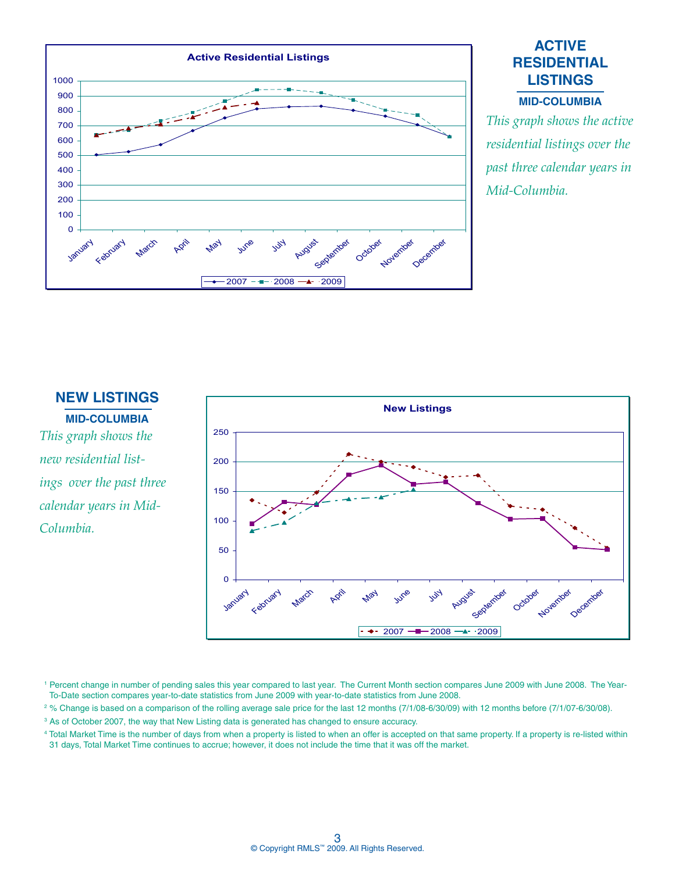

# **ACTIVE RESIDENTIAL LISTINGS Mid-CoLUMBIA**

*This graph shows the active residential listings over the past three calendar years in Mid-Columbia.* 

### **NEW LISTINGS**

**Mid-CoLUMBIA** *This graph shows the new residential listings over the past three calendar years in Mid-Columbia.* 



<sup>1</sup> Percent change in number of pending sales this year compared to last year. The Current Month section compares June 2009 with June 2008. The Year-To-Date section compares year-to-date statistics from June 2009 with year-to-date statistics from June 2008.

2 % Change is based on a comparison of the rolling average sale price for the last 12 months (7/1/08-6/30/09) with 12 months before (7/1/07-6/30/08).

<sup>3</sup> As of October 2007, the way that New Listing data is generated has changed to ensure accuracy.

4 Total Market Time is the number of days from when a property is listed to when an offer is accepted on that same property. If a property is re-listed within 31 days, Total Market Time continues to accrue; however, it does not include the time that it was off the market.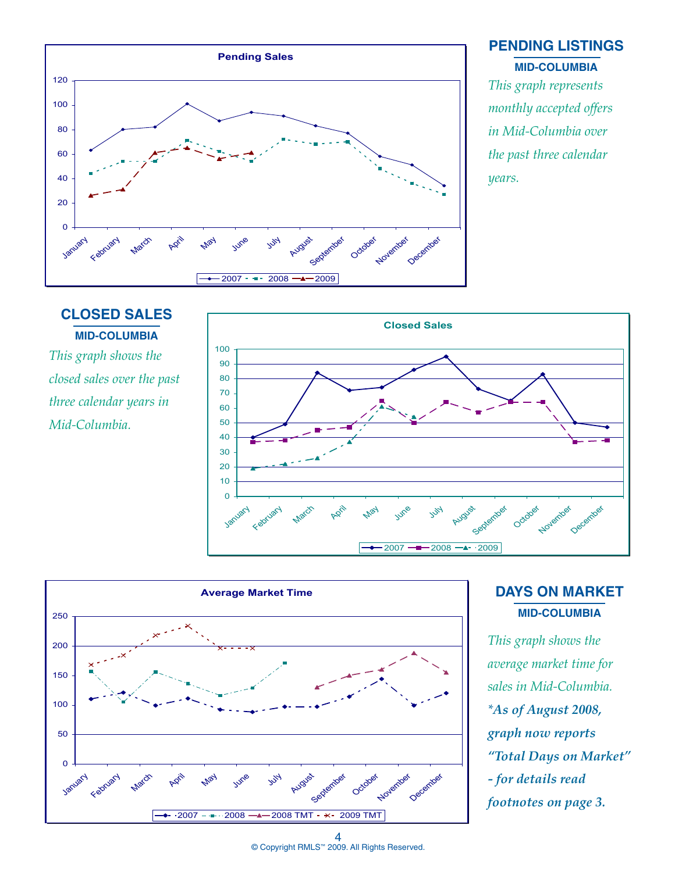

# **PENDING LISTINGS Mid-CoLUMBIA**

*This graph represents monthly accepted offers in Mid-Columbia over the past three calendar years.*



*This graph shows the closed sales over the past three calendar years in Mid-Columbia.* 





**DAYS ON MARKET Mid-CoLUMBIA**

*This graph shows the average market time for sales in Mid-Columbia. \*As of August 2008, graph now reports "Total Days on Market" - for details read footnotes on page 3.*